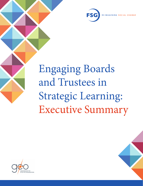

# Engaging Boards and Trustees in Strategic Learning: Executive Summary



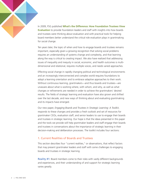In 2009, FSG published **[What's the Difference: How Foundation Trustees View](https://www.fsg.org/tools-and-resources/trustee-evaluation-toolkit-0)  [Evaluation](https://www.fsg.org/tools-and-resources/trustee-evaluation-toolkit-0)** to provide foundation leaders and staff with insights into how boards and trustees were thinking about evaluation and with practical tools for helping board members better understand the critical role evaluation plays in grantmaking for social change.

Ten years later, the topic of when and how to engage boards and trustees remains important, especially given a growing recognition that solving social problems requires an understanding of systems change and complexity, and that learning along the way is critical to creating impact. We also have realized that addressing issues of inequality and inequity in social, economic, and health outcomes is multidimensional and relational, requires multiple voices, and needs varied approaches.

Effecting social change in rapidly changing political and technological environments and an increasingly interconnected and complex world requires foundations to adopt a learning orientation and to embrace adaptive approaches to their work. Without continuous learning, grantmakers—and thus boards and trustees—are unaware about what is working where, with whom, and why, as well as what changes or refinements are needed in order to achieve the grantmakers' desired results. The fields of strategic learning and evaluation have also grown and shifted over the last decade, and new ways of thinking about and evaluating grantmaking and its impacts have emerged.

Our new paper, *Engaging Boards and Trustees in Strategic Learning: A Toolkit*, responds to these changes and provides a fresh outlook and set of resources for grantmaker CEOs, evaluation staff, and senior leaders to use to engage their boards and trustees in strategic learning. Our hope is that the ideas presented in this paper and the tools we provide will help grantmaker leaders and staff engage their boards and trustees in conversations about the importance of strategic learning in their decision-making and deliberation processes. The toolkit includes four sections:

## 1. Current Realities of Boards and Trustees

This section describes four "current realities," or observations, that reflect factors that may present grantmaker leaders and staff with some challenges to engaging boards and trustees in strategic learning.

Reality #1: Board members come to their roles with vastly different backgrounds and experiences, and their understanding of and support for strategic learning varies greatly.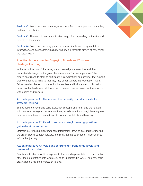

Reality #2: Board members come together only a few times a year, and when they do their time is limited.

Reality #3: The roles of boards and trustees vary, often depending on the size and type of the foundation.

Reality #4: Board members may prefer or request simple metrics, quantitative information, and dashboards, which may paint an incomplete picture of how things are actually going.

# 2. Action Imperatives for Engaging Boards and Trustees in Strategic Learning

In the second section of the paper, we acknowledge these realities and their associated challenges, but suggest there are certain "action imperatives" that require boards and trustees to participate in conversations and activities that support their continuous learning so that they may better support the foundation's work. Below, we describe each of the action imperatives and include a set of discussion questions that leaders and staff can use to frame conversations about these topics with boards and trustees.

# Action Imperative #1: Understand the necessity of and advocate for strategic learning.

Boards need to understand basic evaluation concepts and terms and the relationship between strategy and evaluation. Being an advocate for strategic learning also requires a simultaneous commitment to both accountability and learning.

## Action Imperative #2: Develop and use strategic learning questions to guide decisions and actions.

Strategic questions highlight important information, serve as guardrails for moving the organization's strategy forward, and stimulate the collection of information to inform that journey.

## Action Imperative #3: Value and consume different kinds, levels, and presentations of data.

Boards and trustees should be exposed to forms and representations of information other than quantitative data when seeking to understand if, where, and how their organization is making progress on its goals.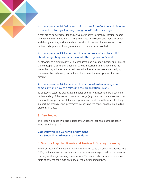

If they are to be advocates for and active participants in strategic learning, boards and trustees must be able and willing to engage in individual and group reflection and dialogue as they deliberate about decisions in front of them or come to new understandings about the organization's work and external context.

## Action Imperative #5: Understand the importance of, and be explicit about, integrating an equity focus into the organization's work.

As stewards of a grantmaker's vision, resources, and execution, boards and trustees should deepen their understanding of who is most significantly affected by the issues their organization aims to address, what historical context and underlying causes may be particularly relevant, and the inherent power dynamics that are present.

## Action Imperative #6: Understand the nature of systems change and complexity and how this relates to the organization's work.

To effectively steer the organization, boards and trustees need to have a common understanding of the nature of systems change (e.g., relationships and connections, resource flows, policy, mental models, power, and practice) so they can effectively support the organization's investments in changing the conditions that are holding problems in place.

#### 3. Case Studies

This section includes two case studies of foundations that have put these action imperatives into practice:

## Case Study #1: The California Endowment Case Study #2: Northwest Area Foundation

## 4. Tools for Engaging Boards and Trustees in Strategic Learning

The final section of the paper includes ten tools linked to the action imperatives that CEOs, senior leaders, and evaluation staff can use to engage boards and trustees in a variety of strategic learning conversations. This section also includes a reference table of how the tools map onto one or more action imperatives.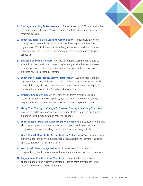

- **1. Strategic Learning Self-Assessment**: A short survey for CEOs and evaluation directors to use with boards/trustees to reveal information about and goals for strategic learning.
- **2. What It Means To Be a Learning Organization**: A brief overview of the concept and characteristics of organizational learning and the learning organization. This includes an activity designed to help boards and trustees reflect on the extent to which the grantmaker has these characteristics (or aspires to).
- **3. Strategic Learning Glossary**: A guide to frequently used terms related to strategic learning and an accompanying learning activity that helps uncover assumptions, perceptions, opinions, and attitudes about key concepts and practices related to strategic learning.
- **4. What Does "Integrate an Equity Focus" Mean?** Two activities related to understanding equity and how to center it in the organization's work; includes pre-work to assign to board members before a conversation about equity to stimulate their thinking about equity and philanthropy.
- **5. Systems Change Primer**: An overview of key terms, frameworks, and resources related to the concept of systems change, along with an activity to help understand the grantmaker's work as it relates to systems change.
- **6. Using Your Theory of Change To Develop Strategic Learning Questions**: A guide to and learning activity for developing strategic learning questions grounded in your organization's theory of change.
- **7. What Types of Data and Evidence Do We Need?** An introduction to thinking about what types of data and evidence your board needs to understand progress and impact, including a levels of evidence learning activity.
- **8. What Does It Mean To Be Accountable in Philanthropy?** An introduction to thinking about the connection between accountability and learning, including an accountability and learning activity.
- **9. Full List of Discussion Questions**: Includes options for facilitating conversations about one or more of the action imperative discussion questions.
- **10. Engagement Practices from Your Peers**: Five examples of practices for engaging boards and trustees in strategic learning from grantmaker CEOs, evaluation directors, and board members.